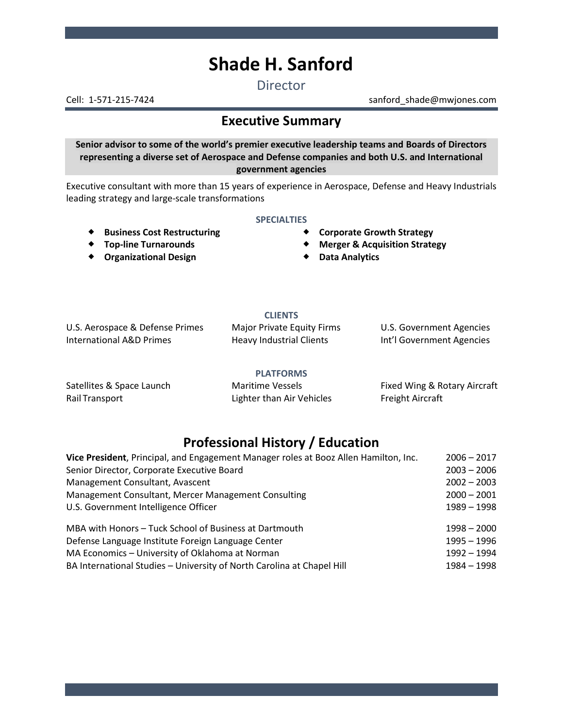# **Shade H. Sanford**

**Director** 

Cell: 1-571-215-7424 sanford\_shade@mwjones.com

# **Executive Summary**

**Senior advisor to some of the world's premier executive leadership teams and Boards of Directors representing a diverse set of Aerospace and Defense companies and both U.S. and International government agencies**

Executive consultant with more than 15 years of experience in Aerospace, Defense and Heavy Industrials leading strategy and large-scale transformations

#### **SPECIALTIES**

- 
- **Top-line Turnarounds**
- **Organizational Design**
- Business Cost Restructuring **\*** Corporate Growth Strategy
	- **Merger & Acquisition Strategy**
	- **Data Analytics**

### **CLIENTS**

U.S. Aerospace & Defense Primes Major Private Equity Firms U.S. Government Agencies International A&D Primes **Heavy Industrial Clients** Int'l Government Agencies

#### **PLATFORMS**

Rail Transport **Example 2** Eighter than Air Vehicles Freight Aircraft

Satellites & Space Launch **Maritime Vessels** Fixed Wing & Rotary Aircraft

# **Professional History / Education**

| Vice President, Principal, and Engagement Manager roles at Booz Allen Hamilton, Inc. | $2006 - 2017$ |
|--------------------------------------------------------------------------------------|---------------|
| Senior Director, Corporate Executive Board                                           | $2003 - 2006$ |
| Management Consultant, Avascent                                                      | $2002 - 2003$ |
| Management Consultant, Mercer Management Consulting                                  | $2000 - 2001$ |
| U.S. Government Intelligence Officer                                                 | 1989 - 1998   |
|                                                                                      |               |
| MBA with Honors - Tuck School of Business at Dartmouth                               | $1998 - 2000$ |
| Defense Language Institute Foreign Language Center                                   | $1995 - 1996$ |
| MA Economics - University of Oklahoma at Norman                                      | $1992 - 1994$ |
| BA International Studies - University of North Carolina at Chapel Hill               | 1984 - 1998   |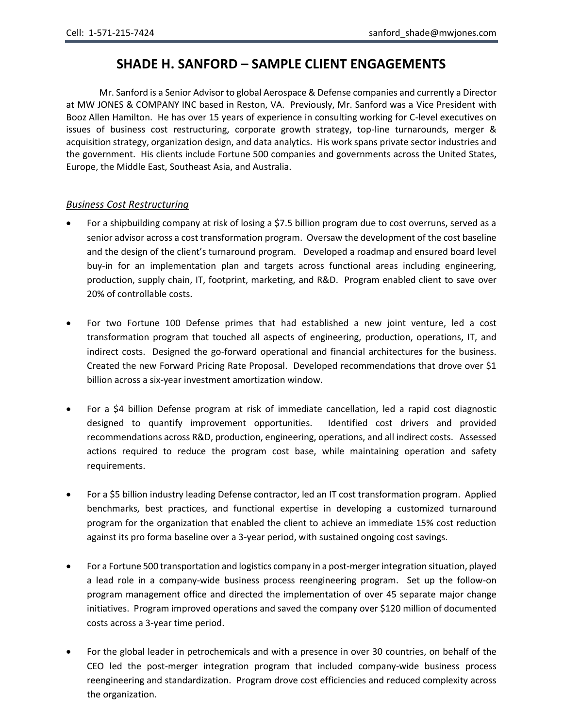## **SHADE H. SANFORD – SAMPLE CLIENT ENGAGEMENTS**

Mr. Sanford is a Senior Advisor to global Aerospace & Defense companies and currently a Director at MW JONES & COMPANY INC based in Reston, VA. Previously, Mr. Sanford was a Vice President with Booz Allen Hamilton. He has over 15 years of experience in consulting working for C-level executives on issues of business cost restructuring, corporate growth strategy, top-line turnarounds, merger & acquisition strategy, organization design, and data analytics. His work spans private sector industries and the government. His clients include Fortune 500 companies and governments across the United States, Europe, the Middle East, Southeast Asia, and Australia.

#### *Business Cost Restructuring*

- For a shipbuilding company at risk of losing a \$7.5 billion program due to cost overruns, served as a senior advisor across a cost transformation program. Oversaw the development of the cost baseline and the design of the client's turnaround program. Developed a roadmap and ensured board level buy-in for an implementation plan and targets across functional areas including engineering, production, supply chain, IT, footprint, marketing, and R&D. Program enabled client to save over 20% of controllable costs.
- For two Fortune 100 Defense primes that had established a new joint venture, led a cost transformation program that touched all aspects of engineering, production, operations, IT, and indirect costs. Designed the go-forward operational and financial architectures for the business. Created the new Forward Pricing Rate Proposal. Developed recommendations that drove over \$1 billion across a six-year investment amortization window.
- For a \$4 billion Defense program at risk of immediate cancellation, led a rapid cost diagnostic designed to quantify improvement opportunities. Identified cost drivers and provided recommendations across R&D, production, engineering, operations, and all indirect costs. Assessed actions required to reduce the program cost base, while maintaining operation and safety requirements.
- For a \$5 billion industry leading Defense contractor, led an IT cost transformation program. Applied benchmarks, best practices, and functional expertise in developing a customized turnaround program for the organization that enabled the client to achieve an immediate 15% cost reduction against its pro forma baseline over a 3-year period, with sustained ongoing cost savings.
- For a Fortune 500 transportation and logistics company in a post-merger integration situation, played a lead role in a company-wide business process reengineering program. Set up the follow-on program management office and directed the implementation of over 45 separate major change initiatives. Program improved operations and saved the company over \$120 million of documented costs across a 3-year time period.
- For the global leader in petrochemicals and with a presence in over 30 countries, on behalf of the CEO led the post-merger integration program that included company-wide business process reengineering and standardization. Program drove cost efficiencies and reduced complexity across the organization.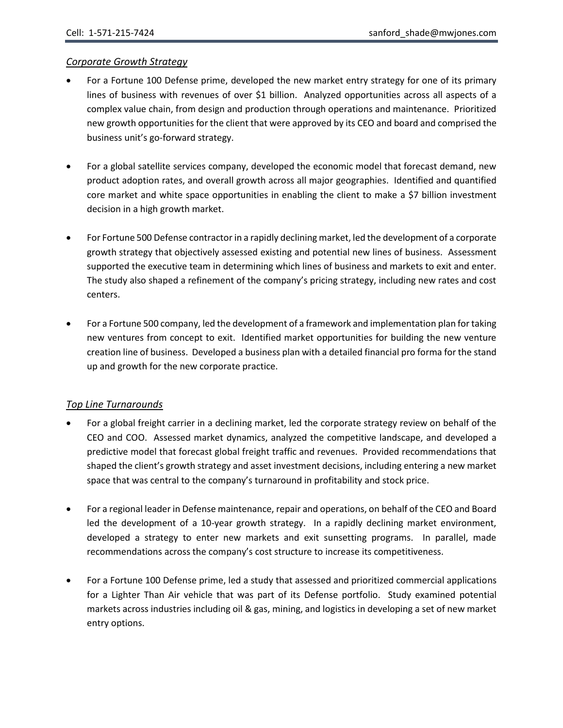#### *Corporate Growth Strategy*

- For a Fortune 100 Defense prime, developed the new market entry strategy for one of its primary lines of business with revenues of over \$1 billion. Analyzed opportunities across all aspects of a complex value chain, from design and production through operations and maintenance. Prioritized new growth opportunities for the client that were approved by its CEO and board and comprised the business unit's go-forward strategy.
- For a global satellite services company, developed the economic model that forecast demand, new product adoption rates, and overall growth across all major geographies. Identified and quantified core market and white space opportunities in enabling the client to make a \$7 billion investment decision in a high growth market.
- For Fortune 500 Defense contractor in a rapidly declining market, led the development of a corporate growth strategy that objectively assessed existing and potential new lines of business. Assessment supported the executive team in determining which lines of business and markets to exit and enter. The study also shaped a refinement of the company's pricing strategy, including new rates and cost centers.
- For a Fortune 500 company, led the development of a framework and implementation plan for taking new ventures from concept to exit. Identified market opportunities for building the new venture creation line of business. Developed a business plan with a detailed financial pro forma for the stand up and growth for the new corporate practice.

#### *Top Line Turnarounds*

- For a global freight carrier in a declining market, led the corporate strategy review on behalf of the CEO and COO. Assessed market dynamics, analyzed the competitive landscape, and developed a predictive model that forecast global freight traffic and revenues. Provided recommendations that shaped the client's growth strategy and asset investment decisions, including entering a new market space that was central to the company's turnaround in profitability and stock price.
- For a regional leader in Defense maintenance, repair and operations, on behalf of the CEO and Board led the development of a 10-year growth strategy. In a rapidly declining market environment, developed a strategy to enter new markets and exit sunsetting programs. In parallel, made recommendations across the company's cost structure to increase its competitiveness.
- For a Fortune 100 Defense prime, led a study that assessed and prioritized commercial applications for a Lighter Than Air vehicle that was part of its Defense portfolio. Study examined potential markets across industries including oil & gas, mining, and logistics in developing a set of new market entry options.